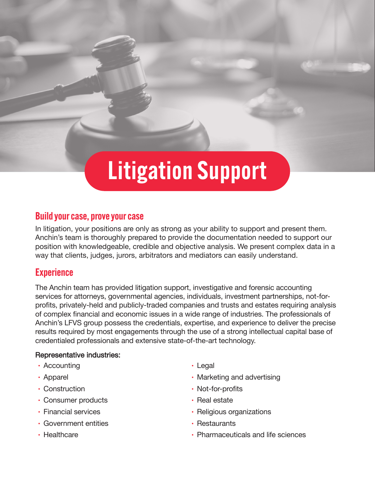# Litigation Support

## Build your case, prove your case

In litigation, your positions are only as strong as your ability to support and present them. Anchin's team is thoroughly prepared to provide the documentation needed to support our position with knowledgeable, credible and objective analysis. We present complex data in a way that clients, judges, jurors, arbitrators and mediators can easily understand.

## **Experience**

The Anchin team has provided litigation support, investigative and forensic accounting services for attorneys, governmental agencies, individuals, investment partnerships, not-forprofits, privately-held and publicly-traded companies and trusts and estates requiring analysis of complex financial and economic issues in a wide range of industries. The professionals of Anchin's LFVS group possess the credentials, expertise, and experience to deliver the precise results required by most engagements through the use of a strong intellectual capital base of credentialed professionals and extensive state-of-the-art technology.

### Representative industries:

- **•** Accounting
- **•** Apparel
- **•** Construction
- **•** Consumer products
- **•** Financial services
- **•** Government entities
- **•** Healthcare
- **•** Legal
- **•** Marketing and advertising
- **•** Not-for-profits
- **•** Real estate
- **•** Religious organizations
- **•** Restaurants
- **•** Pharmaceuticals and life sciences